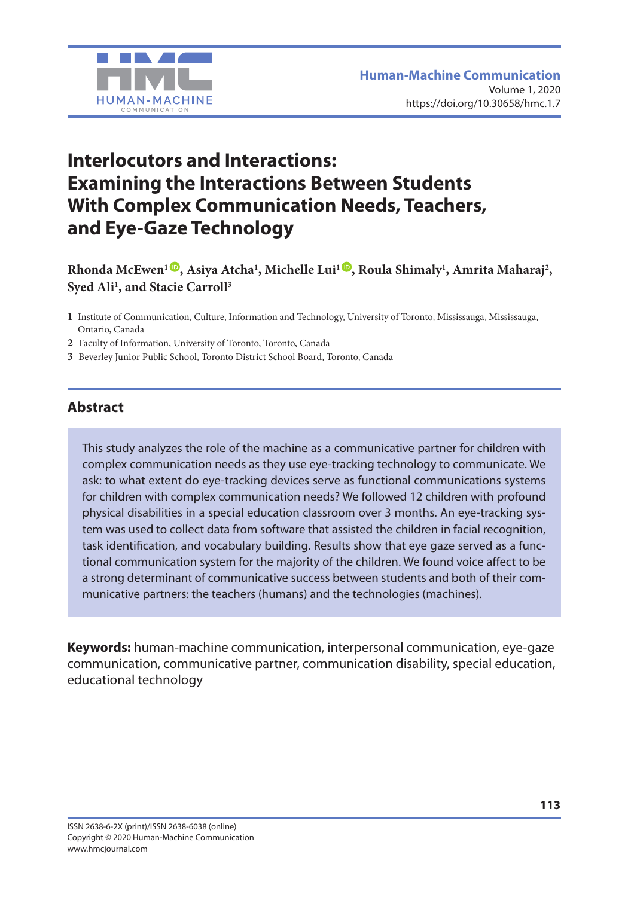

# **Interlocutors and Interactions: Examining the Interactions Between Students With Complex Communication Needs, Teachers, and Eye-Gaze Technology**

**Rhonda McEwen1 [,](https://orcid.org/0000-0002-9451-2909) Asiya Atcha1 , Michelle Lui1 [,](https://orcid.org/0000-0002-5859-8354) Roula Shimaly1 , Amrita Maharaj2 , Syed Ali1 , and Stacie Carroll3**

- **1** Institute of Communication, Culture, Information and Technology, University of Toronto, Mississauga, Mississauga, Ontario, Canada
- **2** Faculty of Information, University of Toronto, Toronto, Canada
- **3** Beverley Junior Public School, Toronto District School Board, Toronto, Canada

#### **Abstract**

This study analyzes the role of the machine as a communicative partner for children with complex communication needs as they use eye-tracking technology to communicate. We ask: to what extent do eye-tracking devices serve as functional communications systems for children with complex communication needs? We followed 12 children with profound physical disabilities in a special education classroom over 3 months. An eye-tracking system was used to collect data from software that assisted the children in facial recognition, task identification, and vocabulary building. Results show that eye gaze served as a functional communication system for the majority of the children. We found voice affect to be a strong determinant of communicative success between students and both of their communicative partners: the teachers (humans) and the technologies (machines).

**Keywords:** human-machine communication, interpersonal communication, eye-gaze communication, communicative partner, communication disability, special education, educational technology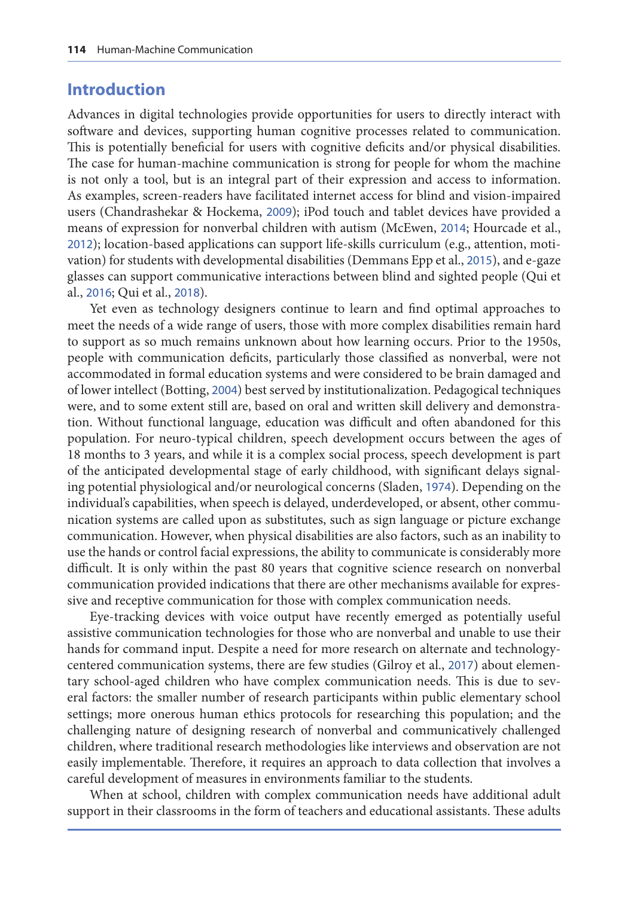#### **Introduction**

Advances in digital technologies provide opportunities for users to directly interact with software and devices, supporting human cognitive processes related to communication. This is potentially beneficial for users with cognitive deficits and/or physical disabilities. The case for human-machine communication is strong for people for whom the machine is not only a tool, but is an integral part of their expression and access to information. As examples, screen-readers have facilitated internet access for blind and vision-impaired users (Chandrashekar & Hockema, [2009](#page-16-0)); iPod touch and tablet devices have provided a means of expression for nonverbal children with autism (McEwen, [2014](#page-17-0); Hourcade et al., [2012](#page-17-0)); location-based applications can support life-skills curriculum (e.g., attention, motivation) for students with developmental disabilities (Demmans Epp et al., [2015](#page-16-0)), and e-gaze glasses can support communicative interactions between blind and sighted people (Qui et al., [2016](#page-17-0); Qui et al., [2018](#page-17-0)).

Yet even as technology designers continue to learn and find optimal approaches to meet the needs of a wide range of users, those with more complex disabilities remain hard to support as so much remains unknown about how learning occurs. Prior to the 1950s, people with communication deficits, particularly those classified as nonverbal, were not accommodated in formal education systems and were considered to be brain damaged and of lower intellect (Botting, [2004](#page-15-0)) best served by institutionalization. Pedagogical techniques were, and to some extent still are, based on oral and written skill delivery and demonstration. Without functional language, education was difficult and often abandoned for this population. For neuro-typical children, speech development occurs between the ages of 18 months to 3 years, and while it is a complex social process, speech development is part of the anticipated developmental stage of early childhood, with significant delays signaling potential physiological and/or neurological concerns (Sladen, [1974](#page-18-0)). Depending on the individual's capabilities, when speech is delayed, underdeveloped, or absent, other communication systems are called upon as substitutes, such as sign language or picture exchange communication. However, when physical disabilities are also factors, such as an inability to use the hands or control facial expressions, the ability to communicate is considerably more difficult. It is only within the past 80 years that cognitive science research on nonverbal communication provided indications that there are other mechanisms available for expressive and receptive communication for those with complex communication needs.

Eye-tracking devices with voice output have recently emerged as potentially useful assistive communication technologies for those who are nonverbal and unable to use their hands for command input. Despite a need for more research on alternate and technologycentered communication systems, there are few studies (Gilroy et al., [2017](#page-16-0)) about elementary school-aged children who have complex communication needs. This is due to several factors: the smaller number of research participants within public elementary school settings; more onerous human ethics protocols for researching this population; and the challenging nature of designing research of nonverbal and communicatively challenged children, where traditional research methodologies like interviews and observation are not easily implementable. Therefore, it requires an approach to data collection that involves a careful development of measures in environments familiar to the students.

When at school, children with complex communication needs have additional adult support in their classrooms in the form of teachers and educational assistants. These adults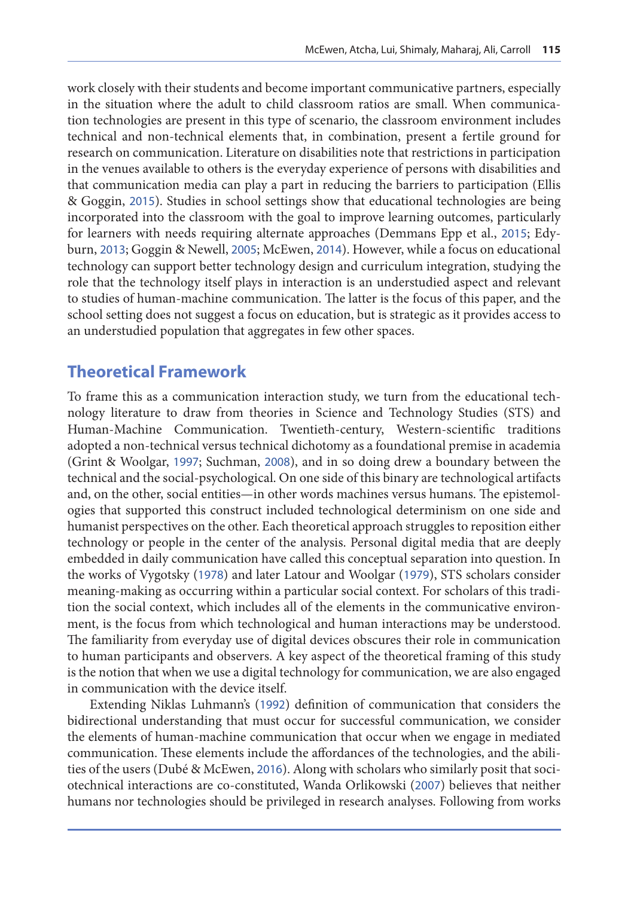work closely with their students and become important communicative partners, especially in the situation where the adult to child classroom ratios are small. When communication technologies are present in this type of scenario, the classroom environment includes technical and non-technical elements that, in combination, present a fertile ground for research on communication. Literature on disabilities note that restrictions in participation in the venues available to others is the everyday experience of persons with disabilities and that communication media can play a part in reducing the barriers to participation (Ellis & Goggin, [2015](#page-16-0)). Studies in school settings show that educational technologies are being incorporated into the classroom with the goal to improve learning outcomes, particularly for learners with needs requiring alternate approaches (Demmans Epp et al., [2015](#page-16-0); Edyburn, [2013](#page-16-0); Goggin & Newell, [2005](#page-16-0); McEwen, [2014](#page-17-0)). However, while a focus on educational technology can support better technology design and curriculum integration, studying the role that the technology itself plays in interaction is an understudied aspect and relevant to studies of human-machine communication. The latter is the focus of this paper, and the school setting does not suggest a focus on education, but is strategic as it provides access to an understudied population that aggregates in few other spaces.

#### **Theoretical Framework**

To frame this as a communication interaction study, we turn from the educational technology literature to draw from theories in Science and Technology Studies (STS) and Human-Machine Communication. Twentieth-century, Western-scientific traditions adopted a non-technical versus technical dichotomy as a foundational premise in academia (Grint & Woolgar, [1997](#page-16-0); Suchman, [2008](#page-18-0)), and in so doing drew a boundary between the technical and the social-psychological. On one side of this binary are technological artifacts and, on the other, social entities—in other words machines versus humans. The epistemologies that supported this construct included technological determinism on one side and humanist perspectives on the other. Each theoretical approach struggles to reposition either technology or people in the center of the analysis. Personal digital media that are deeply embedded in daily communication have called this conceptual separation into question. In the works of Vygotsky ([1978](#page-18-0)) and later Latour and Woolgar ([1979](#page-17-0)), STS scholars consider meaning-making as occurring within a particular social context. For scholars of this tradition the social context, which includes all of the elements in the communicative environment, is the focus from which technological and human interactions may be understood. The familiarity from everyday use of digital devices obscures their role in communication to human participants and observers. A key aspect of the theoretical framing of this study is the notion that when we use a digital technology for communication, we are also engaged in communication with the device itself.

Extending Niklas Luhmann's ([1992](#page-17-0)) definition of communication that considers the bidirectional understanding that must occur for successful communication, we consider the elements of human-machine communication that occur when we engage in mediated communication. These elements include the affordances of the technologies, and the abilities of the users (Dubé & McEwen, [2016](#page-16-0)). Along with scholars who similarly posit that sociotechnical interactions are co-constituted, Wanda Orlikowski ([2007](#page-17-0)) believes that neither humans nor technologies should be privileged in research analyses. Following from works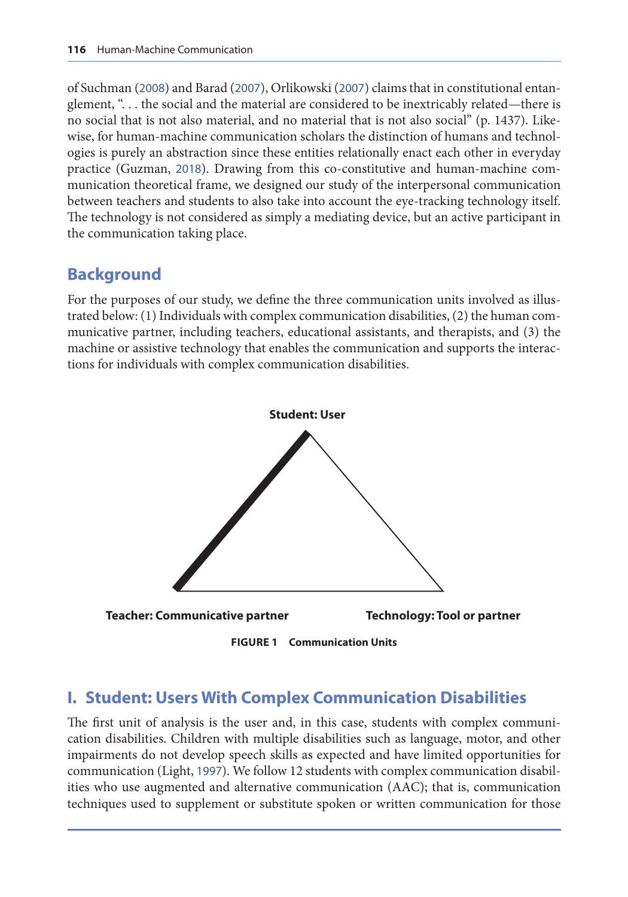of Suchman ([2008](#page-18-0)) and Barad ([2007](#page-15-0)), Orlikowski ([2007](#page-17-0)) claims that in constitutional entanglement, ". . . the social and the material are considered to be inextricably related—there is no social that is not also material, and no material that is not also social" (p. 1437). Likewise, for human-machine communication scholars the distinction of humans and technologies is purely an abstraction since these entities relationally enact each other in everyday practice (Guzman, [2018](#page-16-0)). Drawing from this co-constitutive and human-machine communication theoretical frame, we designed our study of the interpersonal communication between teachers and students to also take into account the eye-tracking technology itself. The technology is not considered as simply a mediating device, but an active participant in the communication taking place.

## **Background**

For the purposes of our study, we define the three communication units involved as illustrated below: (1) Individuals with complex communication disabilities, (2) the human communicative partner, including teachers, educational assistants, and therapists, and (3) the machine or assistive technology that enables the communication and supports the interactions for individuals with complex communication disabilities.



**FIGURE 1 Communication Units**

## **I. Student: Users With Complex Communication Disabilities**

The first unit of analysis is the user and, in this case, students with complex communication disabilities. Children with multiple disabilities such as language, motor, and other impairments do not develop speech skills as expected and have limited opportunities for communication (Light, [1997](#page-17-0)). We follow 12 students with complex communication disabilities who use augmented and alternative communication (AAC); that is, communication techniques used to supplement or substitute spoken or written communication for those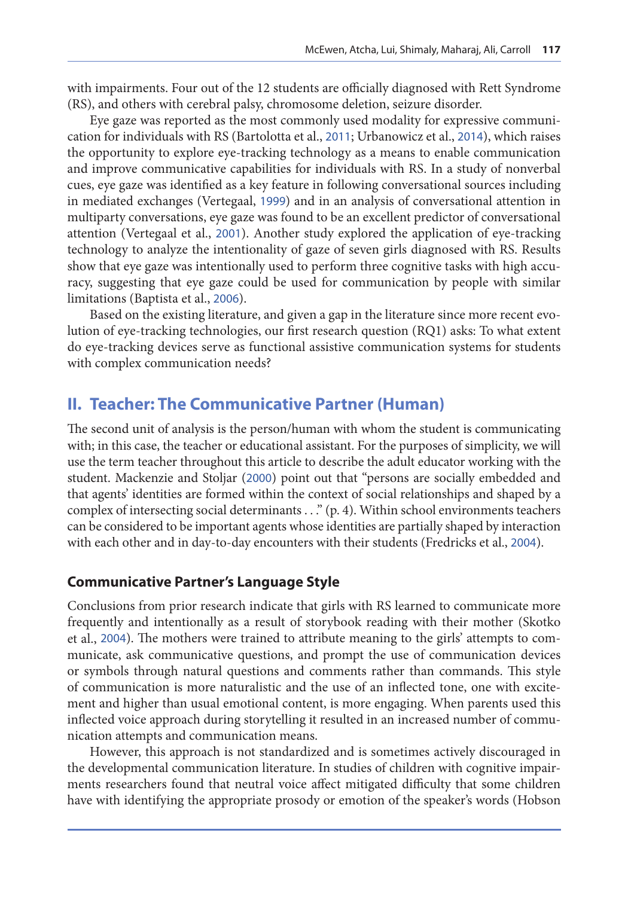with impairments. Four out of the 12 students are officially diagnosed with Rett Syndrome (RS), and others with cerebral palsy, chromosome deletion, seizure disorder.

Eye gaze was reported as the most commonly used modality for expressive communication for individuals with RS (Bartolotta et al., [2011](#page-15-0); Urbanowicz et al., [2014](#page-18-0)), which raises the opportunity to explore eye-tracking technology as a means to enable communication and improve communicative capabilities for individuals with RS. In a study of nonverbal cues, eye gaze was identified as a key feature in following conversational sources including in mediated exchanges (Vertegaal, [1999](#page-18-0)) and in an analysis of conversational attention in multiparty conversations, eye gaze was found to be an excellent predictor of conversational attention (Vertegaal et al., [2001](#page-18-0)). Another study explored the application of eye-tracking technology to analyze the intentionality of gaze of seven girls diagnosed with RS. Results show that eye gaze was intentionally used to perform three cognitive tasks with high accuracy, suggesting that eye gaze could be used for communication by people with similar limitations (Baptista et al., [2006](#page-15-0)).

Based on the existing literature, and given a gap in the literature since more recent evolution of eye-tracking technologies, our first research question (RQ1) asks: To what extent do eye-tracking devices serve as functional assistive communication systems for students with complex communication needs?

#### **II. Teacher: The Communicative Partner (Human)**

The second unit of analysis is the person/human with whom the student is communicating with; in this case, the teacher or educational assistant. For the purposes of simplicity, we will use the term teacher throughout this article to describe the adult educator working with the student. Mackenzie and Stoljar ([2000](#page-17-0)) point out that "persons are socially embedded and that agents' identities are formed within the context of social relationships and shaped by a complex of intersecting social determinants . . ." (p. 4). Within school environments teachers can be considered to be important agents whose identities are partially shaped by interaction with each other and in day-to-day encounters with their students (Fredricks et al., [2004](#page-16-0)).

#### **Communicative Partner's Language Style**

Conclusions from prior research indicate that girls with RS learned to communicate more frequently and intentionally as a result of storybook reading with their mother (Skotko et al., [2004](#page-18-0)). The mothers were trained to attribute meaning to the girls' attempts to communicate, ask communicative questions, and prompt the use of communication devices or symbols through natural questions and comments rather than commands. This style of communication is more naturalistic and the use of an inflected tone, one with excitement and higher than usual emotional content, is more engaging. When parents used this inflected voice approach during storytelling it resulted in an increased number of communication attempts and communication means.

However, this approach is not standardized and is sometimes actively discouraged in the developmental communication literature. In studies of children with cognitive impairments researchers found that neutral voice affect mitigated difficulty that some children have with identifying the appropriate prosody or emotion of the speaker's words (Hobson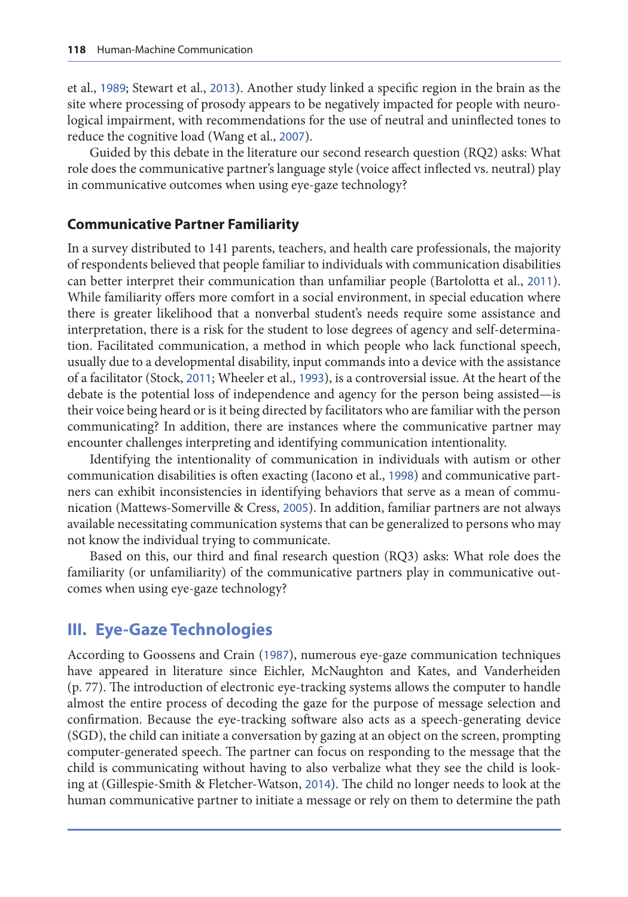et al., [1989](#page-17-0); Stewart et al., [2013](#page-18-0)). Another study linked a specific region in the brain as the site where processing of prosody appears to be negatively impacted for people with neurological impairment, with recommendations for the use of neutral and uninflected tones to reduce the cognitive load (Wang et al., [2007](#page-18-0)).

Guided by this debate in the literature our second research question (RQ2) asks: What role does the communicative partner's language style (voice affect inflected vs. neutral) play in communicative outcomes when using eye-gaze technology?

#### **Communicative Partner Familiarity**

In a survey distributed to 141 parents, teachers, and health care professionals, the majority of respondents believed that people familiar to individuals with communication disabilities can better interpret their communication than unfamiliar people (Bartolotta et al., [2011](#page-15-0)). While familiarity offers more comfort in a social environment, in special education where there is greater likelihood that a nonverbal student's needs require some assistance and interpretation, there is a risk for the student to lose degrees of agency and self-determination. Facilitated communication, a method in which people who lack functional speech, usually due to a developmental disability, input commands into a device with the assistance of a facilitator (Stock, [2011](#page-18-0); Wheeler et al., [1993](#page-18-0)), is a controversial issue. At the heart of the debate is the potential loss of independence and agency for the person being assisted—is their voice being heard or is it being directed by facilitators who are familiar with the person communicating? In addition, there are instances where the communicative partner may encounter challenges interpreting and identifying communication intentionality.

Identifying the intentionality of communication in individuals with autism or other communication disabilities is often exacting (Iacono et al., [1998](#page-17-0)) and communicative partners can exhibit inconsistencies in identifying behaviors that serve as a mean of communication (Mattews-Somerville & Cress, [2005](#page-17-0)). In addition, familiar partners are not always available necessitating communication systems that can be generalized to persons who may not know the individual trying to communicate.

Based on this, our third and final research question (RQ3) asks: What role does the familiarity (or unfamiliarity) of the communicative partners play in communicative outcomes when using eye-gaze technology?

#### **III. Eye-Gaze Technologies**

According to Goossens and Crain ([1987](#page-16-0)), numerous eye-gaze communication techniques have appeared in literature since Eichler, McNaughton and Kates, and Vanderheiden (p. 77). The introduction of electronic eye-tracking systems allows the computer to handle almost the entire process of decoding the gaze for the purpose of message selection and confirmation. Because the eye-tracking software also acts as a speech-generating device (SGD), the child can initiate a conversation by gazing at an object on the screen, prompting computer-generated speech. The partner can focus on responding to the message that the child is communicating without having to also verbalize what they see the child is looking at (Gillespie-Smith & Fletcher-Watson, [2014](#page-16-0)). The child no longer needs to look at the human communicative partner to initiate a message or rely on them to determine the path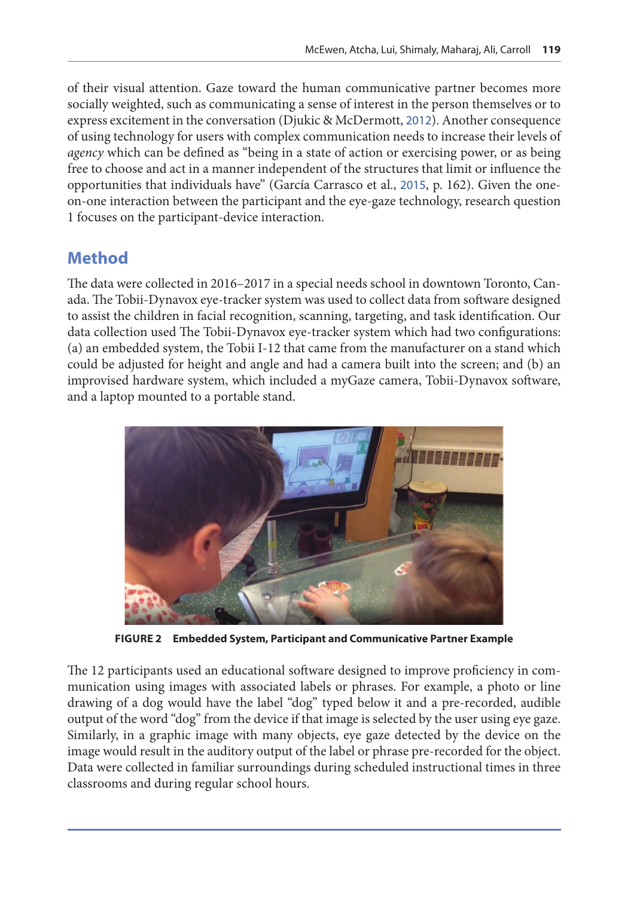of their visual attention. Gaze toward the human communicative partner becomes more socially weighted, such as communicating a sense of interest in the person themselves or to express excitement in the conversation (Djukic & McDermott, [2012](#page-16-0)). Another consequence of using technology for users with complex communication needs to increase their levels of *agency* which can be defined as "being in a state of action or exercising power, or as being free to choose and act in a manner independent of the structures that limit or influence the opportunities that individuals have" (García Carrasco et al., [2015](#page-16-0), p. 162). Given the oneon-one interaction between the participant and the eye-gaze technology, research question 1 focuses on the participant-device interaction.

## **Method**

The data were collected in 2016–2017 in a special needs school in downtown Toronto, Canada. The Tobii-Dynavox eye-tracker system was used to collect data from software designed to assist the children in facial recognition, scanning, targeting, and task identification. Our data collection used The Tobii-Dynavox eye-tracker system which had two configurations: (a) an embedded system, the Tobii I-12 that came from the manufacturer on a stand which could be adjusted for height and angle and had a camera built into the screen; and (b) an improvised hardware system, which included a myGaze camera, Tobii-Dynavox software, and a laptop mounted to a portable stand.



**FIGURE 2 Embedded System, Participant and Communicative Partner Example**

The 12 participants used an educational software designed to improve proficiency in communication using images with associated labels or phrases. For example, a photo or line drawing of a dog would have the label "dog" typed below it and a pre-recorded, audible output of the word "dog" from the device if that image is selected by the user using eye gaze. Similarly, in a graphic image with many objects, eye gaze detected by the device on the image would result in the auditory output of the label or phrase pre-recorded for the object. Data were collected in familiar surroundings during scheduled instructional times in three classrooms and during regular school hours.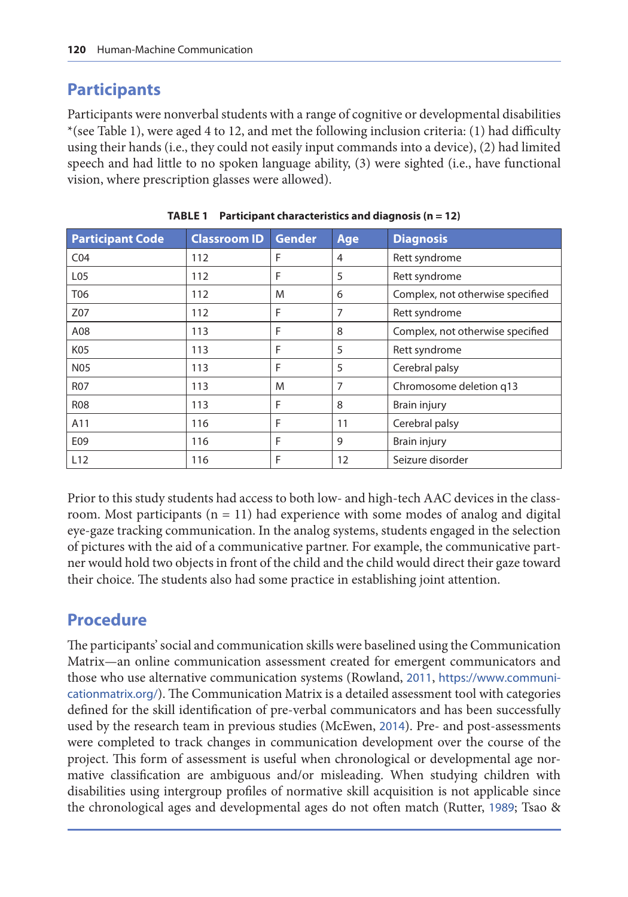## **Participants**

Participants were nonverbal students with a range of cognitive or developmental disabilities \*(see Table 1), were aged 4 to 12, and met the following inclusion criteria: (1) had difficulty using their hands (i.e., they could not easily input commands into a device), (2) had limited speech and had little to no spoken language ability, (3) were sighted (i.e., have functional vision, where prescription glasses were allowed).

| <b>Participant Code</b> | <b>Classroom ID</b> | <b>Gender</b> | Age | <b>Diagnosis</b>                 |
|-------------------------|---------------------|---------------|-----|----------------------------------|
| CO <sub>4</sub>         | 112                 | F             | 4   | Rett syndrome                    |
| L <sub>05</sub>         | 112                 | F             | 5   | Rett syndrome                    |
| T06                     | 112                 | M             | 6   | Complex, not otherwise specified |
| Z07                     | 112                 | F             | 7   | Rett syndrome                    |
| A08                     | 113                 | F             | 8   | Complex, not otherwise specified |
| K05                     | 113                 | F             | 5   | Rett syndrome                    |
| <b>N05</b>              | 113                 | F             | 5   | Cerebral palsy                   |
| <b>R07</b>              | 113                 | M             | 7   | Chromosome deletion q13          |
| <b>R08</b>              | 113                 | F             | 8   | Brain injury                     |
| A11                     | 116                 | F             | 11  | Cerebral palsy                   |
| E09                     | 116                 | F             | 9   | Brain injury                     |
| L12                     | 116                 | F             | 12  | Seizure disorder                 |

**TABLE 1 Participant characteristics and diagnosis (n = 12)**

Prior to this study students had access to both low- and high-tech AAC devices in the classroom. Most participants  $(n = 11)$  had experience with some modes of analog and digital eye-gaze tracking communication. In the analog systems, students engaged in the selection of pictures with the aid of a communicative partner. For example, the communicative partner would hold two objects in front of the child and the child would direct their gaze toward their choice. The students also had some practice in establishing joint attention.

## **Procedure**

The participants' social and communication skills were baselined using the Communication Matrix—an online communication assessment created for emergent communicators and those who use alternative communication systems (Rowland, [2011](#page-18-0), [https://www.communi](https://www.communicationmatrix.org/)[cationmatrix.org/](https://www.communicationmatrix.org/)). The Communication Matrix is a detailed assessment tool with categories defined for the skill identification of pre-verbal communicators and has been successfully used by the research team in previous studies (McEwen, [2014](#page-17-0)). Pre- and post-assessments were completed to track changes in communication development over the course of the project. This form of assessment is useful when chronological or developmental age normative classification are ambiguous and/or misleading. When studying children with disabilities using intergroup profiles of normative skill acquisition is not applicable since the chronological ages and developmental ages do not often match (Rutter, [1989](#page-18-0); Tsao &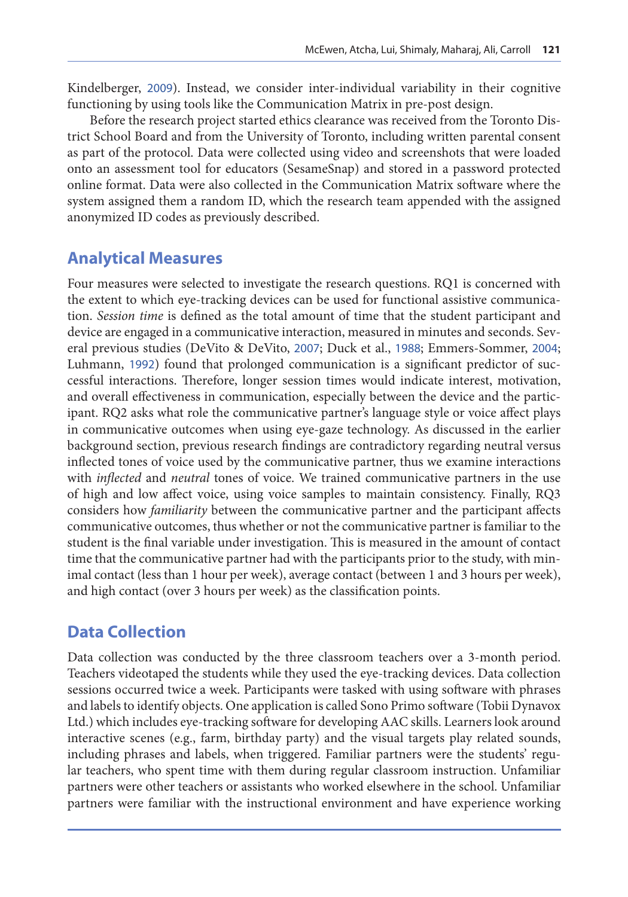Kindelberger, [2009](#page-18-0)). Instead, we consider inter-individual variability in their cognitive functioning by using tools like the Communication Matrix in pre-post design.

Before the research project started ethics clearance was received from the Toronto District School Board and from the University of Toronto, including written parental consent as part of the protocol. Data were collected using video and screenshots that were loaded onto an assessment tool for educators (SesameSnap) and stored in a password protected online format. Data were also collected in the Communication Matrix software where the system assigned them a random ID, which the research team appended with the assigned anonymized ID codes as previously described.

## **Analytical Measures**

Four measures were selected to investigate the research questions. RQ1 is concerned with the extent to which eye-tracking devices can be used for functional assistive communication. *Session time* is defined as the total amount of time that the student participant and device are engaged in a communicative interaction, measured in minutes and seconds. Several previous studies (DeVito & DeVito, [2007](#page-16-0); Duck et al., [1988](#page-16-0); Emmers-Sommer, [2004](#page-16-0); Luhmann, [1992](#page-17-0)) found that prolonged communication is a significant predictor of successful interactions. Therefore, longer session times would indicate interest, motivation, and overall effectiveness in communication, especially between the device and the participant. RQ2 asks what role the communicative partner's language style or voice affect plays in communicative outcomes when using eye-gaze technology. As discussed in the earlier background section, previous research findings are contradictory regarding neutral versus inflected tones of voice used by the communicative partner, thus we examine interactions with *inflected* and *neutral* tones of voice. We trained communicative partners in the use of high and low affect voice, using voice samples to maintain consistency. Finally, RQ3 considers how *familiarity* between the communicative partner and the participant affects communicative outcomes, thus whether or not the communicative partner is familiar to the student is the final variable under investigation. This is measured in the amount of contact time that the communicative partner had with the participants prior to the study, with minimal contact (less than 1 hour per week), average contact (between 1 and 3 hours per week), and high contact (over 3 hours per week) as the classification points.

#### **Data Collection**

Data collection was conducted by the three classroom teachers over a 3-month period. Teachers videotaped the students while they used the eye-tracking devices. Data collection sessions occurred twice a week. Participants were tasked with using software with phrases and labels to identify objects. One application is called Sono Primo software (Tobii Dynavox Ltd.) which includes eye-tracking software for developing AAC skills. Learners look around interactive scenes (e.g., farm, birthday party) and the visual targets play related sounds, including phrases and labels, when triggered. Familiar partners were the students' regular teachers, who spent time with them during regular classroom instruction. Unfamiliar partners were other teachers or assistants who worked elsewhere in the school. Unfamiliar partners were familiar with the instructional environment and have experience working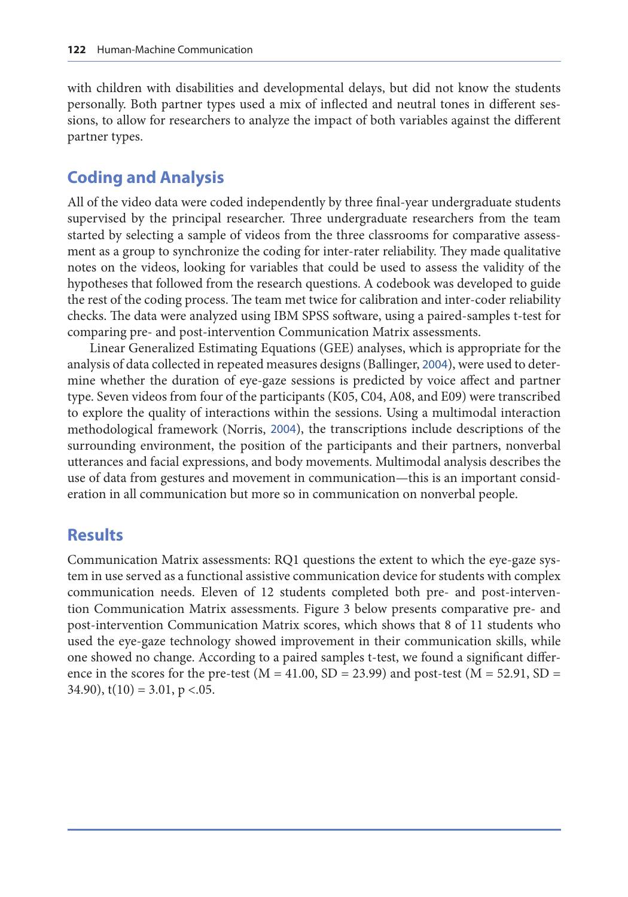with children with disabilities and developmental delays, but did not know the students personally. Both partner types used a mix of inflected and neutral tones in different sessions, to allow for researchers to analyze the impact of both variables against the different partner types.

#### **Coding and Analysis**

All of the video data were coded independently by three final-year undergraduate students supervised by the principal researcher. Three undergraduate researchers from the team started by selecting a sample of videos from the three classrooms for comparative assessment as a group to synchronize the coding for inter-rater reliability. They made qualitative notes on the videos, looking for variables that could be used to assess the validity of the hypotheses that followed from the research questions. A codebook was developed to guide the rest of the coding process. The team met twice for calibration and inter-coder reliability checks. The data were analyzed using IBM SPSS software, using a paired-samples t-test for comparing pre- and post-intervention Communication Matrix assessments.

Linear Generalized Estimating Equations (GEE) analyses, which is appropriate for the analysis of data collected in repeated measures designs (Ballinger, [2004](#page-15-0)), were used to determine whether the duration of eye-gaze sessions is predicted by voice affect and partner type. Seven videos from four of the participants (K05, C04, A08, and E09) were transcribed to explore the quality of interactions within the sessions. Using a multimodal interaction methodological framework (Norris, [2004](#page-17-0)), the transcriptions include descriptions of the surrounding environment, the position of the participants and their partners, nonverbal utterances and facial expressions, and body movements. Multimodal analysis describes the use of data from gestures and movement in communication—this is an important consideration in all communication but more so in communication on nonverbal people.

#### **Results**

Communication Matrix assessments: RQ1 questions the extent to which the eye-gaze system in use served as a functional assistive communication device for students with complex communication needs. Eleven of 12 students completed both pre- and post-intervention Communication Matrix assessments. Figure 3 below presents comparative pre- and post-intervention Communication Matrix scores, which shows that 8 of 11 students who used the eye-gaze technology showed improvement in their communication skills, while one showed no change. According to a paired samples t-test, we found a significant difference in the scores for the pre-test ( $M = 41.00$ ,  $SD = 23.99$ ) and post-test ( $M = 52.91$ ,  $SD =$ 34.90),  $t(10) = 3.01$ ,  $p < 0.05$ .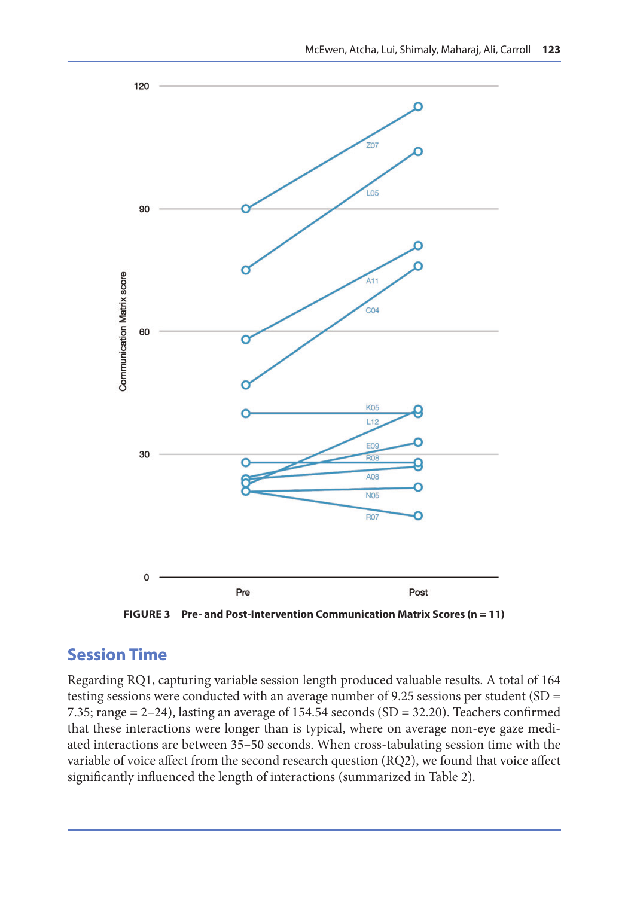

**FIGURE 3 Pre- and Post-Intervention Communication Matrix Scores (n = 11)**

## **Session Time**

Regarding RQ1, capturing variable session length produced valuable results. A total of 164 testing sessions were conducted with an average number of 9.25 sessions per student (SD = 7.35; range  $= 2-24$ ), lasting an average of 154.54 seconds (SD  $= 32.20$ ). Teachers confirmed that these interactions were longer than is typical, where on average non-eye gaze mediated interactions are between 35–50 seconds. When cross-tabulating session time with the variable of voice affect from the second research question (RQ2), we found that voice affect significantly influenced the length of interactions (summarized in Table 2).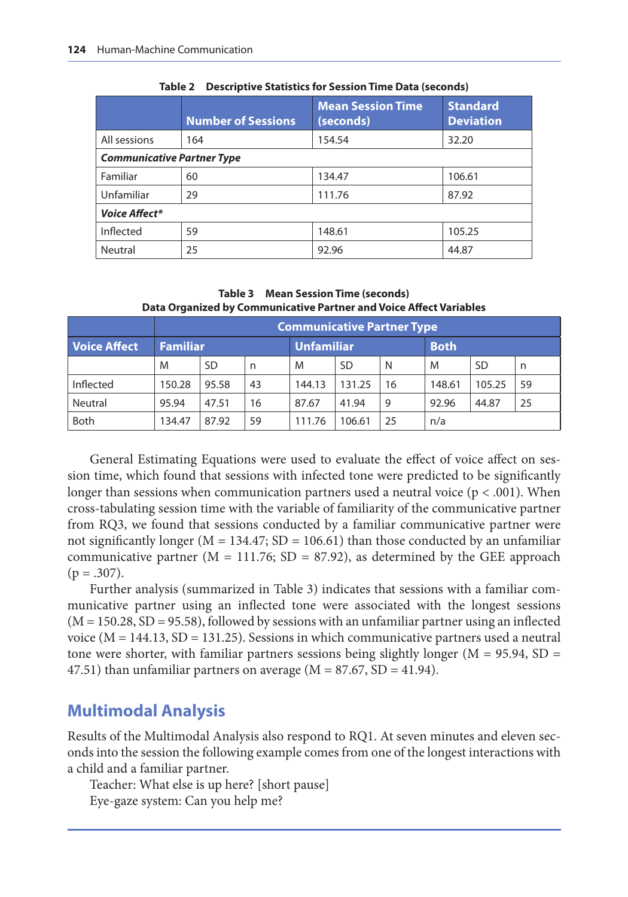|                                   | <b>Number of Sessions</b> | <b>Mean Session Time</b><br>(seconds) | <b>Standard</b><br><b>Deviation</b> |  |  |  |  |
|-----------------------------------|---------------------------|---------------------------------------|-------------------------------------|--|--|--|--|
| All sessions                      | 164                       | 154.54                                | 32.20                               |  |  |  |  |
| <b>Communicative Partner Type</b> |                           |                                       |                                     |  |  |  |  |
| Familiar                          | 60                        | 134.47                                | 106.61                              |  |  |  |  |
| Unfamiliar                        | 29                        | 111.76                                | 87.92                               |  |  |  |  |
| <b>Voice Affect*</b>              |                           |                                       |                                     |  |  |  |  |
| Inflected                         | 59                        | 148.61                                | 105.25                              |  |  |  |  |
| Neutral                           | 25                        | 92.96                                 | 44.87                               |  |  |  |  |

**Table 2 Descriptive Statistics for Session Time Data (seconds)**

#### **Table 3 Mean Session Time (seconds) Data Organized by Communicative Partner and Voice Affect Variables**

|              | <b>Communicative Partner Type</b> |       |    |                   |           |    |             |        |    |  |
|--------------|-----------------------------------|-------|----|-------------------|-----------|----|-------------|--------|----|--|
| Voice Affect | <b>Familiar</b>                   |       |    | <b>Unfamiliar</b> |           |    | <b>Both</b> |        |    |  |
|              | M                                 | SD    | n  | M                 | <b>SD</b> | N  | M           | -SD    | n  |  |
| Inflected    | 150.28                            | 95.58 | 43 | 144.13            | 131.25    | 16 | 148.61      | 105.25 | 59 |  |
| Neutral      | 95.94                             | 47.51 | 16 | 87.67             | 41.94     | 9  | 92.96       | 44.87  | 25 |  |
| <b>Both</b>  | 134.47                            | 87.92 | 59 | 111.76            | 106.61    | 25 | n/a         |        |    |  |

General Estimating Equations were used to evaluate the effect of voice affect on session time, which found that sessions with infected tone were predicted to be significantly longer than sessions when communication partners used a neutral voice  $(p < .001)$ . When cross-tabulating session time with the variable of familiarity of the communicative partner from RQ3, we found that sessions conducted by a familiar communicative partner were not significantly longer ( $M = 134.47$ ; SD = 106.61) than those conducted by an unfamiliar communicative partner ( $M = 111.76$ ; SD = 87.92), as determined by the GEE approach  $(p=.307).$ 

Further analysis (summarized in Table 3) indicates that sessions with a familiar communicative partner using an inflected tone were associated with the longest sessions  $(M = 150.28, SD = 95.58)$ , followed by sessions with an unfamiliar partner using an inflected voice ( $M = 144.13$ ,  $SD = 131.25$ ). Sessions in which communicative partners used a neutral tone were shorter, with familiar partners sessions being slightly longer ( $M = 95.94$ ,  $SD =$ 47.51) than unfamiliar partners on average ( $M = 87.67$ , SD = 41.94).

#### **Multimodal Analysis**

Results of the Multimodal Analysis also respond to RQ1. At seven minutes and eleven seconds into the session the following example comes from one of the longest interactions with a child and a familiar partner.

Teacher: What else is up here? [short pause] Eye-gaze system: Can you help me?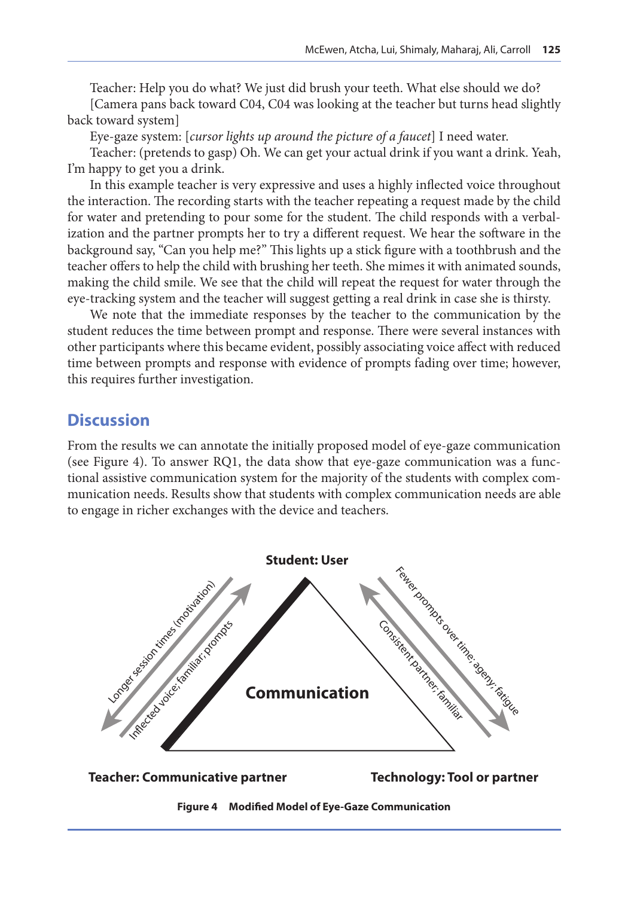Teacher: Help you do what? We just did brush your teeth. What else should we do? [Camera pans back toward C04, C04 was looking at the teacher but turns head slightly back toward system]

Eye-gaze system: [*cursor lights up around the picture of a faucet*] I need water.

Teacher: (pretends to gasp) Oh. We can get your actual drink if you want a drink. Yeah, I'm happy to get you a drink.

In this example teacher is very expressive and uses a highly inflected voice throughout the interaction. The recording starts with the teacher repeating a request made by the child for water and pretending to pour some for the student. The child responds with a verbalization and the partner prompts her to try a different request. We hear the software in the background say, "Can you help me?" This lights up a stick figure with a toothbrush and the teacher offers to help the child with brushing her teeth. She mimes it with animated sounds, making the child smile. We see that the child will repeat the request for water through the eye-tracking system and the teacher will suggest getting a real drink in case she is thirsty.

We note that the immediate responses by the teacher to the communication by the student reduces the time between prompt and response. There were several instances with other participants where this became evident, possibly associating voice affect with reduced time between prompts and response with evidence of prompts fading over time; however, this requires further investigation.

#### **Discussion**

From the results we can annotate the initially proposed model of eye-gaze communication (see Figure 4). To answer RQ1, the data show that eye-gaze communication was a functional assistive communication system for the majority of the students with complex communication needs. Results show that students with complex communication needs are able to engage in richer exchanges with the device and teachers.





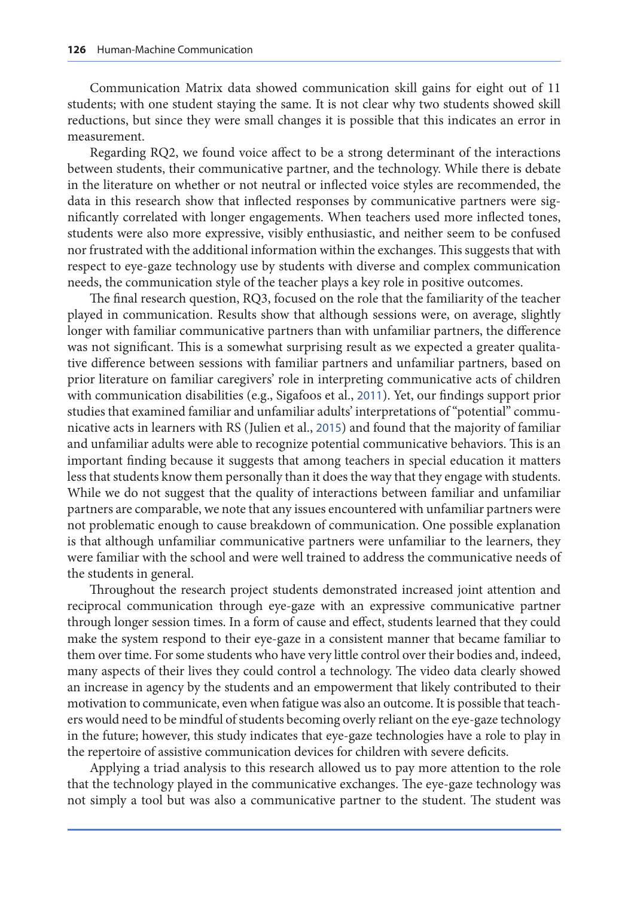Communication Matrix data showed communication skill gains for eight out of 11 students; with one student staying the same. It is not clear why two students showed skill reductions, but since they were small changes it is possible that this indicates an error in measurement.

Regarding RQ2, we found voice affect to be a strong determinant of the interactions between students, their communicative partner, and the technology. While there is debate in the literature on whether or not neutral or inflected voice styles are recommended, the data in this research show that inflected responses by communicative partners were significantly correlated with longer engagements. When teachers used more inflected tones, students were also more expressive, visibly enthusiastic, and neither seem to be confused nor frustrated with the additional information within the exchanges. This suggests that with respect to eye-gaze technology use by students with diverse and complex communication needs, the communication style of the teacher plays a key role in positive outcomes.

The final research question, RQ3, focused on the role that the familiarity of the teacher played in communication. Results show that although sessions were, on average, slightly longer with familiar communicative partners than with unfamiliar partners, the difference was not significant. This is a somewhat surprising result as we expected a greater qualitative difference between sessions with familiar partners and unfamiliar partners, based on prior literature on familiar caregivers' role in interpreting communicative acts of children with communication disabilities (e.g., Sigafoos et al., [2011](#page-18-0)). Yet, our findings support prior studies that examined familiar and unfamiliar adults' interpretations of "potential" communicative acts in learners with RS (Julien et al., [2015](#page-17-0)) and found that the majority of familiar and unfamiliar adults were able to recognize potential communicative behaviors. This is an important finding because it suggests that among teachers in special education it matters less that students know them personally than it does the way that they engage with students. While we do not suggest that the quality of interactions between familiar and unfamiliar partners are comparable, we note that any issues encountered with unfamiliar partners were not problematic enough to cause breakdown of communication. One possible explanation is that although unfamiliar communicative partners were unfamiliar to the learners, they were familiar with the school and were well trained to address the communicative needs of the students in general.

Throughout the research project students demonstrated increased joint attention and reciprocal communication through eye-gaze with an expressive communicative partner through longer session times. In a form of cause and effect, students learned that they could make the system respond to their eye-gaze in a consistent manner that became familiar to them over time. For some students who have very little control over their bodies and, indeed, many aspects of their lives they could control a technology. The video data clearly showed an increase in agency by the students and an empowerment that likely contributed to their motivation to communicate, even when fatigue was also an outcome. It is possible that teachers would need to be mindful of students becoming overly reliant on the eye-gaze technology in the future; however, this study indicates that eye-gaze technologies have a role to play in the repertoire of assistive communication devices for children with severe deficits.

Applying a triad analysis to this research allowed us to pay more attention to the role that the technology played in the communicative exchanges. The eye-gaze technology was not simply a tool but was also a communicative partner to the student. The student was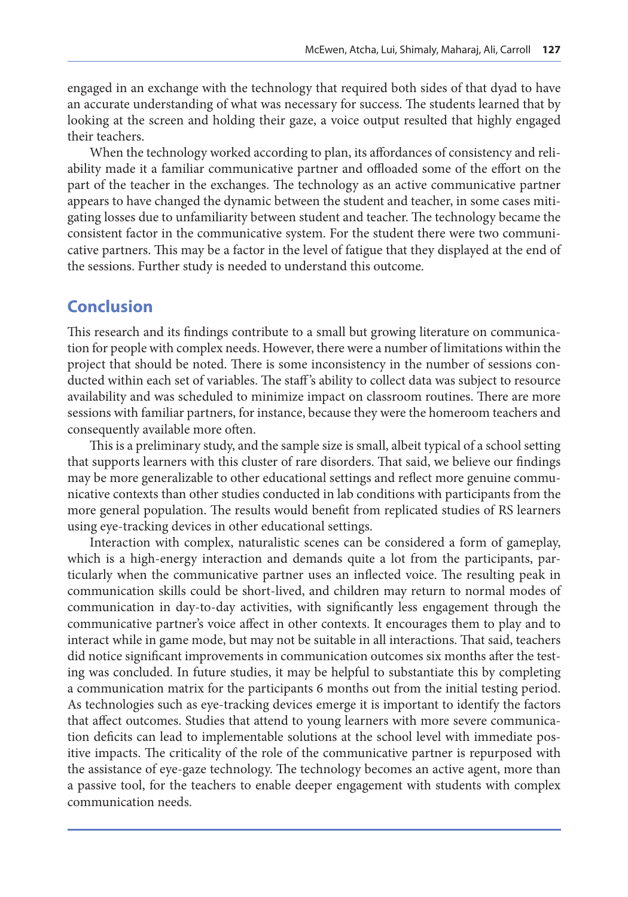engaged in an exchange with the technology that required both sides of that dyad to have an accurate understanding of what was necessary for success. The students learned that by looking at the screen and holding their gaze, a voice output resulted that highly engaged their teachers.

When the technology worked according to plan, its affordances of consistency and reliability made it a familiar communicative partner and offloaded some of the effort on the part of the teacher in the exchanges. The technology as an active communicative partner appears to have changed the dynamic between the student and teacher, in some cases mitigating losses due to unfamiliarity between student and teacher. The technology became the consistent factor in the communicative system. For the student there were two communicative partners. This may be a factor in the level of fatigue that they displayed at the end of the sessions. Further study is needed to understand this outcome.

### **Conclusion**

This research and its findings contribute to a small but growing literature on communication for people with complex needs. However, there were a number of limitations within the project that should be noted. There is some inconsistency in the number of sessions conducted within each set of variables. The staff 's ability to collect data was subject to resource availability and was scheduled to minimize impact on classroom routines. There are more sessions with familiar partners, for instance, because they were the homeroom teachers and consequently available more often.

This is a preliminary study, and the sample size is small, albeit typical of a school setting that supports learners with this cluster of rare disorders. That said, we believe our findings may be more generalizable to other educational settings and reflect more genuine communicative contexts than other studies conducted in lab conditions with participants from the more general population. The results would benefit from replicated studies of RS learners using eye-tracking devices in other educational settings.

Interaction with complex, naturalistic scenes can be considered a form of gameplay, which is a high-energy interaction and demands quite a lot from the participants, particularly when the communicative partner uses an inflected voice. The resulting peak in communication skills could be short-lived, and children may return to normal modes of communication in day-to-day activities, with significantly less engagement through the communicative partner's voice affect in other contexts. It encourages them to play and to interact while in game mode, but may not be suitable in all interactions. That said, teachers did notice significant improvements in communication outcomes six months after the testing was concluded. In future studies, it may be helpful to substantiate this by completing a communication matrix for the participants 6 months out from the initial testing period. As technologies such as eye-tracking devices emerge it is important to identify the factors that affect outcomes. Studies that attend to young learners with more severe communication deficits can lead to implementable solutions at the school level with immediate positive impacts. The criticality of the role of the communicative partner is repurposed with the assistance of eye-gaze technology. The technology becomes an active agent, more than a passive tool, for the teachers to enable deeper engagement with students with complex communication needs.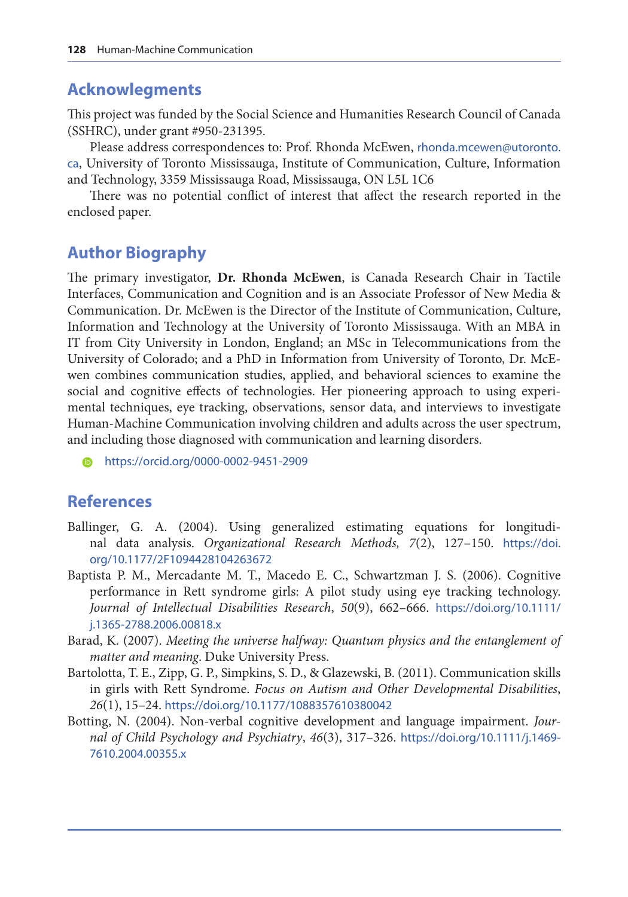#### <span id="page-15-0"></span>**Acknowlegments**

This project was funded by the Social Science and Humanities Research Council of Canada (SSHRC), under grant #950-231395.

Please address correspondences to: Prof. Rhonda McEwen, [rhonda.mcewen@utoronto.](mailto:rhonda.mcewen@utoronto.ca) [ca](mailto:rhonda.mcewen@utoronto.ca), University of Toronto Mississauga, Institute of Communication, Culture, Information and Technology, 3359 Mississauga Road, Mississauga, ON L5L 1C6

There was no potential conflict of interest that affect the research reported in the enclosed paper.

#### **Author Biography**

The primary investigator, **Dr. Rhonda McEwen**, is Canada Research Chair in Tactile Interfaces, Communication and Cognition and is an Associate Professor of New Media & Communication. Dr. McEwen is the Director of the Institute of Communication, Culture, Information and Technology at the University of Toronto Mississauga. With an MBA in IT from City University in London, England; an MSc in Telecommunications from the University of Colorado; and a PhD in Information from University of Toronto, Dr. McEwen combines communication studies, applied, and behavioral sciences to examine the social and cognitive effects of technologies. Her pioneering approach to using experimental techniques, eye tracking, observations, sensor data, and interviews to investigate Human-Machine Communication involving children and adults across the user spectrum, and including those diagnosed with communication and learning disorders.

[https://orcid.org/0](https://orcid.org/0000-0002-9451-2909)000-0002-9451-2909

#### **References**

- Ballinger, G. A. (2004). Using generalized estimating equations for longitudinal data analysis. *Organizational Research Methods, 7*(2), 127–150. [https://doi.](https://doi.org/10.1177/2F1094428104263672) [org/10.1177/2F1094428104263672](https://doi.org/10.1177/2F1094428104263672)
- Baptista P. M., Mercadante M. T., Macedo E. C., Schwartzman J. S. (2006). Cognitive performance in Rett syndrome girls: A pilot study using eye tracking technology. *Journal of Intellectual Disabilities Research*, *50*(9), 662–666. [https://doi.org/10.1111/](https://doi.org/10.1111/j.1365-2788.2006.00818.x) [j.1365-2788.2006.00818.x](https://doi.org/10.1111/j.1365-2788.2006.00818.x)
- Barad, K. (2007). *Meeting the universe halfway: Quantum physics and the entanglement of matter and meaning*. Duke University Press.
- Bartolotta, T. E., Zipp, G. P., Simpkins, S. D., & Glazewski, B. (2011). Communication skills in girls with Rett Syndrome. *Focus on Autism and Other Developmental Disabilities*, *26*(1), 15–24. <https://doi.org/10.1177/1088357610380042>
- Botting, N. (2004). Non-verbal cognitive development and language impairment. *Journal of Child Psychology and Psychiatry*, *46*(3), 317–326. [https://doi.org/10.1111/j.1469-](https://doi.org/10.1111/j.1469-7610.2004.00355.x) [7610.2004.00355.x](https://doi.org/10.1111/j.1469-7610.2004.00355.x)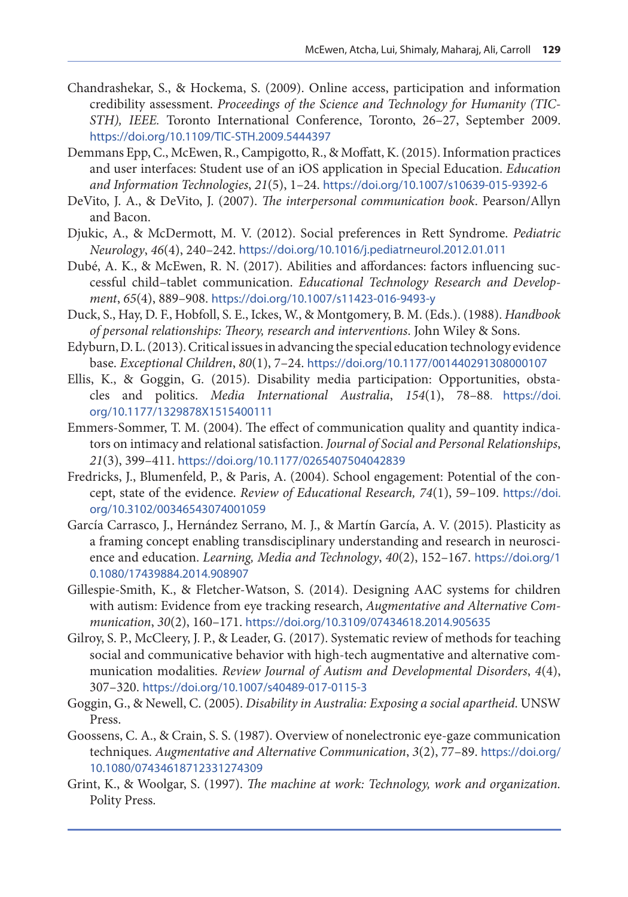- <span id="page-16-0"></span>Chandrashekar, S., & Hockema, S. (2009). Online access, participation and information credibility assessment. *Proceedings of the Science and Technology for Humanity (TIC-STH), IEEE.* Toronto International Conference, Toronto, 26–27, September 2009. <https://doi.org/10.1109/TIC-STH.2009.5444397>
- Demmans Epp, C., McEwen, R., Campigotto, R., & Moffatt, K. (2015). Information practices and user interfaces: Student use of an iOS application in Special Education. *Education and Information Technologies*, *21*(5), 1–24. <https://doi.org/10.1007/s10639-015-9392-6>
- DeVito, J. A., & DeVito, J. (2007). *The interpersonal communication book*. Pearson/Allyn and Bacon.
- Djukic, A., & McDermott, M. V. (2012). Social preferences in Rett Syndrome. *Pediatric Neurology*, *46*(4), 240–242. <https://doi.org/10.1016/j.pediatrneurol.2012.01.011>
- Dubé, A. K., & McEwen, R. N. (2017). Abilities and affordances: factors influencing successful child–tablet communication. *Educational Technology Research and Development*, *65*(4), 889–908. <https://doi.org/10.1007/s11423-016-9493-y>
- Duck, S., Hay, D. F., Hobfoll, S. E., Ickes, W., & Montgomery, B. M. (Eds.). (1988). *Handbook of personal relationships: Theory, research and interventions*. John Wiley & Sons.
- Edyburn, D. L. (2013). Critical issues in advancing the special education technology evidence base. *Exceptional Children*, *80*(1), 7–24. [https://doi.org/10.1177/001440291308000107](https://doi.org/10.1177%2F001440291308000107)
- Ellis, K., & Goggin, G. (2015). Disability media participation: Opportunities, obstacles and politics. *Media International Australia*, *154*(1), 78–88. [https://doi.](https://doi.org/10.1177%2F1329878X1515400111) [org/10.1177/1329878X1515400111](https://doi.org/10.1177%2F1329878X1515400111)
- Emmers-Sommer, T. M. (2004). The effect of communication quality and quantity indicators on intimacy and relational satisfaction. *Journal of Social and Personal Relationships*, *21*(3), 399–411. [https://doi.org/10.1177/0265407504042839](https://doi.org/10.1177%2F0265407504042839)
- Fredricks, J., Blumenfeld, P., & Paris, A. (2004). School engagement: Potential of the concept, state of the evidence. *Review of Educational Research, 74*(1), 59–109. [https://doi.](https://doi.org/10.3102%2F00346543074001059) [org/10.3102/00346543074001059](https://doi.org/10.3102%2F00346543074001059)
- García Carrasco, J., Hernández Serrano, M. J., & Martín García, A. V. (2015). Plasticity as a framing concept enabling transdisciplinary understanding and research in neuroscience and education. *Learning, Media and Technology*, *40*(2), 152–167. [https://doi.org/1](https://doi.org/10.1080/17439884.2014.908907) [0.1080/17439884.2014.908907](https://doi.org/10.1080/17439884.2014.908907)
- Gillespie-Smith, K., & Fletcher-Watson, S. (2014). Designing AAC systems for children with autism: Evidence from eye tracking research, *Augmentative and Alternative Communication*, *30*(2), 160–171. https://doi.org[/10.3109/07434618.2014.905635](https://doi.org/10.3109/07434618.2014.905635)
- Gilroy, S. P., McCleery, J. P., & Leader, G. (2017). Systematic review of methods for teaching social and communicative behavior with high-tech augmentative and alternative communication modalities. *Review Journal of Autism and Developmental Disorders*, *4*(4), 307–320. <https://doi.org/10.1007/s40489-017-0115-3>
- Goggin, G., & Newell, C. (2005). *Disability in Australia: Exposing a social apartheid*. UNSW Press.
- Goossens, C. A., & Crain, S. S. (1987). Overview of nonelectronic eye-gaze communication techniques. *Augmentative and Alternative Communication*, *3*(2), 77–89. [https://doi.org/](https://doi.org/10.1080/07434618712331274309) [10.1080/07434618712331274309](https://doi.org/10.1080/07434618712331274309)
- Grint, K., & Woolgar, S. (1997). *The machine at work: Technology, work and organization.*  Polity Press.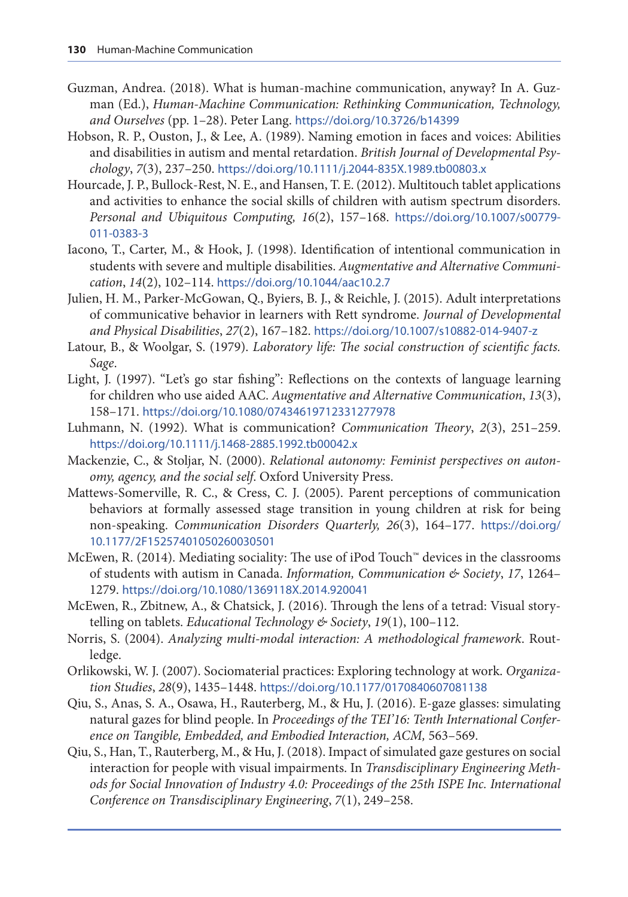- <span id="page-17-0"></span>Guzman, Andrea. (2018). What is human-machine communication, anyway? In A. Guzman (Ed.), *Human-Machine Communication: Rethinking Communication, Technology, and Ourselves* (pp. 1–28). Peter Lang. <https://doi.org/10.3726/b14399>
- Hobson, R. P., Ouston, J., & Lee, A. (1989). Naming emotion in faces and voices: Abilities and disabilities in autism and mental retardation. *British Journal of Developmental Psychology*, *7*(3), 237–250. <https://doi.org/10.1111/j.2044-835X.1989.tb00803.x>
- Hourcade, J. P., Bullock-Rest, N. E., and Hansen, T. E. (2012). Multitouch tablet applications and activities to enhance the social skills of children with autism spectrum disorders. *Personal and Ubiquitous Computing, 16*(2), 157–168. [https://doi.org/10.1007/s00779-](https://doi.org/10.1007/s00779-011-0383-3) [011-0383-3](https://doi.org/10.1007/s00779-011-0383-3)
- Iacono, T., Carter, M., & Hook, J. (1998). Identification of intentional communication in students with severe and multiple disabilities. *Augmentative and Alternative Communication*, *14*(2), 102–114. <https://doi.org/10.1044/aac10.2.7>
- Julien, H. M., Parker-McGowan, Q., Byiers, B. J., & Reichle, J. (2015). Adult interpretations of communicative behavior in learners with Rett syndrome. *Journal of Developmental and Physical Disabilities*, *27*(2), 167–182. <https://doi.org/10.1007/s10882-014-9407-z>
- Latour, B., & Woolgar, S. (1979). *Laboratory life: The social construction of scientific facts. Sage*.
- Light, J. (1997). "Let's go star fishing": Reflections on the contexts of language learning for children who use aided AAC. *Augmentative and Alternative Communication*, *13*(3), 158–171. <https://doi.org/10.1080/07434619712331277978>
- Luhmann, N. (1992). What is communication? *Communication Theory*, *2*(3), 251–259. <https://doi.org/10.1111/j.1468-2885.1992.tb00042.x>
- Mackenzie, C., & Stoljar, N. (2000). *Relational autonomy: Feminist perspectives on autonomy, agency, and the social self*. Oxford University Press.
- Mattews-Somerville, R. C., & Cress, C. J. (2005). Parent perceptions of communication behaviors at formally assessed stage transition in young children at risk for being non-speaking. *Communication Disorders Quarterly, 26*(3), 164–177. [https://doi.org/](https://doi.org/10.1177/2F15257401050260030501) [10.1177/2F15257401050260030501](https://doi.org/10.1177/2F15257401050260030501)
- McEwen, R. (2014). Mediating sociality: The use of iPod Touch™ devices in the classrooms of students with autism in Canada. *Information, Communication & Society*, *17*, 1264– 1279. <https://doi.org/10.1080/1369118X.2014.920041>
- McEwen, R., Zbitnew, A., & Chatsick, J. (2016). Through the lens of a tetrad: Visual storytelling on tablets. *Educational Technology & Society*, *19*(1), 100–112.
- Norris, S. (2004). *Analyzing multi-modal interaction: A methodological framework*. Routledge.
- Orlikowski, W. J. (2007). Sociomaterial practices: Exploring technology at work. *Organization Studies*, *28*(9), 1435–1448. <https://doi.org/10.1177/0170840607081138>
- Qiu, S., Anas, S. A., Osawa, H., Rauterberg, M., & Hu, J. (2016). E-gaze glasses: simulating natural gazes for blind people. In *Proceedings of the TEI'16: Tenth International Confer*ence on Tangible, Embedded, and Embodied Interaction, ACM, 563-569.
- Qiu, S., Han, T., Rauterberg, M., & Hu, J. (2018). Impact of simulated gaze gestures on social interaction for people with visual impairments. In *Transdisciplinary Engineering Methods for Social Innovation of Industry 4.0: Proceedings of the 25th ISPE Inc. International Conference on Transdisciplinary Engineering*, *7*(1), 249–258.